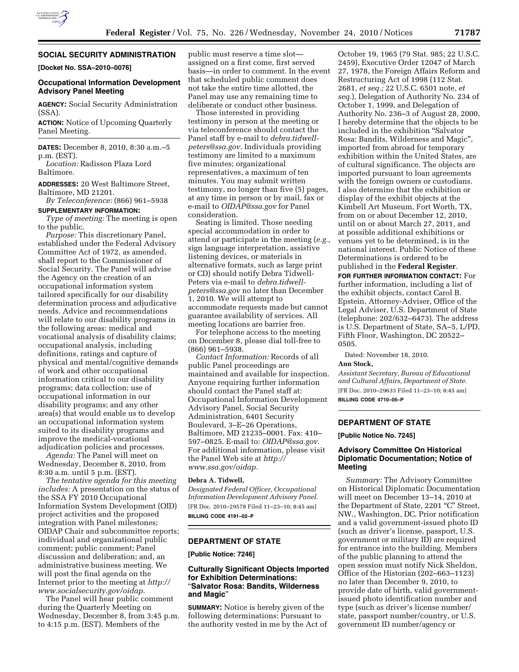

# **SOCIAL SECURITY ADMINISTRATION**

**[Docket No. SSA–2010–0076]** 

# **Occupational Information Development Advisory Panel Meeting**

**AGENCY:** Social Security Administration (SSA).

**ACTION:** Notice of Upcoming Quarterly Panel Meeting.

**DATES:** December 8, 2010, 8:30 a.m.–5 p.m. (EST).

*Location:* Radisson Plaza Lord Baltimore.

**ADDRESSES:** 20 West Baltimore Street, Baltimore, MD 21201.

*By Teleconference:* (866) 961–5938 **SUPPLEMENTARY INFORMATION:** 

*Type of meeting:* The meeting is open to the public.

*Purpose:* This discretionary Panel, established under the Federal Advisory Committee Act of 1972, as amended, shall report to the Commissioner of Social Security. The Panel will advise the Agency on the creation of an occupational information system tailored specifically for our disability determination process and adjudicative needs. Advice and recommendations will relate to our disability programs in the following areas: medical and vocational analysis of disability claims; occupational analysis, including definitions, ratings and capture of physical and mental/cognitive demands of work and other occupational information critical to our disability programs; data collection; use of occupational information in our disability programs; and any other area(s) that would enable us to develop an occupational information system suited to its disability programs and improve the medical-vocational adjudication policies and processes.

*Agenda:* The Panel will meet on Wednesday, December 8, 2010, from 8:30 a.m. until 5 p.m. (EST).

*The tentative agenda for this meeting includes:* A presentation on the status of the SSA FY 2010 Occupational Information System Development (OID) project activities and the proposed integration with Panel milestones; OIDAP Chair and subcommittee reports; individual and organizational public comment; public comment; Panel discussion and deliberation; and, an administrative business meeting. We will post the final agenda on the Internet prior to the meeting at *[http://](http://www.socialsecurity.gov/oidap) [www.socialsecurity.gov/oidap.](http://www.socialsecurity.gov/oidap)* 

The Panel will hear public comment during the Quarterly Meeting on Wednesday, December 8, from 3:45 p.m. to 4:15 p.m. (EST). Members of the

public must reserve a time slot assigned on a first come, first served basis—in order to comment. In the event that scheduled public comment does not take the entire time allotted, the Panel may use any remaining time to deliberate or conduct other business.

Those interested in providing testimony in person at the meeting or via teleconference should contact the Panel staff by e-mail to *[debra.tidwell](mailto:debra.tidwell-peters@ssa.gov)[peters@ssa.gov.](mailto:debra.tidwell-peters@ssa.gov)* Individuals providing testimony are limited to a maximum five minutes; organizational representatives, a maximum of ten minutes. You may submit written testimony, no longer than five (5) pages, at any time in person or by mail, fax or e-mail to *[OIDAP@ssa.gov](mailto:OIDAP@ssa.gov)* for Panel consideration.

Seating is limited. Those needing special accommodation in order to attend or participate in the meeting (*e.g.,*  sign language interpretation, assistive listening devices, or materials in alternative formats, such as large print or CD) should notify Debra Tidwell-Peters via e-mail to *[debra.tidwell](mailto:debra.tidwell-peters@ssa.gov)[peters@ssa.gov](mailto:debra.tidwell-peters@ssa.gov)* no later than December 1, 2010. We will attempt to accommodate requests made but cannot guarantee availability of services. All meeting locations are barrier free.

For telephone access to the meeting on December 8, please dial toll-free to (866) 961–5938.

*Contact Information:* Records of all public Panel proceedings are maintained and available for inspection. Anyone requiring further information should contact the Panel staff at: Occupational Information Development Advisory Panel, Social Security Administration, 6401 Security Boulevard, 3–E–26 Operations, Baltimore, MD 21235–0001. Fax: 410– 597–0825. E-mail to: *[OIDAP@ssa.gov.](mailto:OIDAP@ssa.gov)*  For additional information, please visit the Panel Web site at *[http://](http://www.ssa.gov/oidap) [www.ssa.gov/oidap.](http://www.ssa.gov/oidap)* 

## **Debra A. Tidwell,**

*Designated Federal Officer, Occupational Information Development Advisory Panel.*  [FR Doc. 2010–29578 Filed 11–23–10; 8:45 am] **BILLING CODE 4191–02–P** 

### **DEPARTMENT OF STATE**

**[Public Notice: 7246]** 

# **Culturally Significant Objects Imported for Exhibition Determinations:**  ''**Salvator Rosa: Bandits, Wilderness and Magic**''

**SUMMARY:** Notice is hereby given of the following determinations: Pursuant to the authority vested in me by the Act of

October 19, 1965 (79 Stat. 985; 22 U.S.C. 2459), Executive Order 12047 of March 27, 1978, the Foreign Affairs Reform and Restructuring Act of 1998 (112 Stat. 2681, *et seq.;* 22 U.S.C. 6501 note, *et seq.*), Delegation of Authority No. 234 of October 1, 1999, and Delegation of Authority No. 236–3 of August 28, 2000, I hereby determine that the objects to be included in the exhibition ''Salvator Rosa: Bandits, Wilderness and Magic'', imported from abroad for temporary exhibition within the United States, are of cultural significance. The objects are imported pursuant to loan agreements with the foreign owners or custodians. I also determine that the exhibition or display of the exhibit objects at the Kimbell Art Museum, Fort Worth, TX, from on or about December 12, 2010, until on or about March 27, 2011, and at possible additional exhibitions or venues yet to be determined, is in the national interest. Public Notice of these Determinations is ordered to be published in the **Federal Register**.

**FOR FURTHER INFORMATION CONTACT:** For further information, including a list of

the exhibit objects, contact Carol B. Epstein, Attorney-Adviser, Office of the Legal Adviser, U.S. Department of State (telephone: 202/632–6473). The address is U.S. Department of State, SA–5, L/PD, Fifth Floor, Washington, DC 20522– 0505.

Dated: November 18, 2010.

#### **Ann Stock,**

*Assistant Secretary, Bureau of Educational and Cultural Affairs, Department of State.*  [FR Doc. 2010–29633 Filed 11–23–10; 8:45 am] **BILLING CODE 4710–05–P** 

### **DEPARTMENT OF STATE**

**[Public Notice No. 7245]** 

## **Advisory Committee On Historical Diplomatic Documentation; Notice of Meeting**

*Summary:* The Advisory Committee on Historical Diplomatic Documentation will meet on December 13–14, 2010 at the Department of State, 2201 "C" Street, NW., Washington, DC. Prior notification and a valid government-issued photo ID (such as driver's license, passport, U.S. government or military ID) are required for entrance into the building. Members of the public planning to attend the open session must notify Nick Sheldon, Office of the Historian (202–663–1123) no later than December 9, 2010, to provide date of birth, valid governmentissued photo identification number and type (such as driver's license number/ state, passport number/country, or U.S. government ID number/agency or